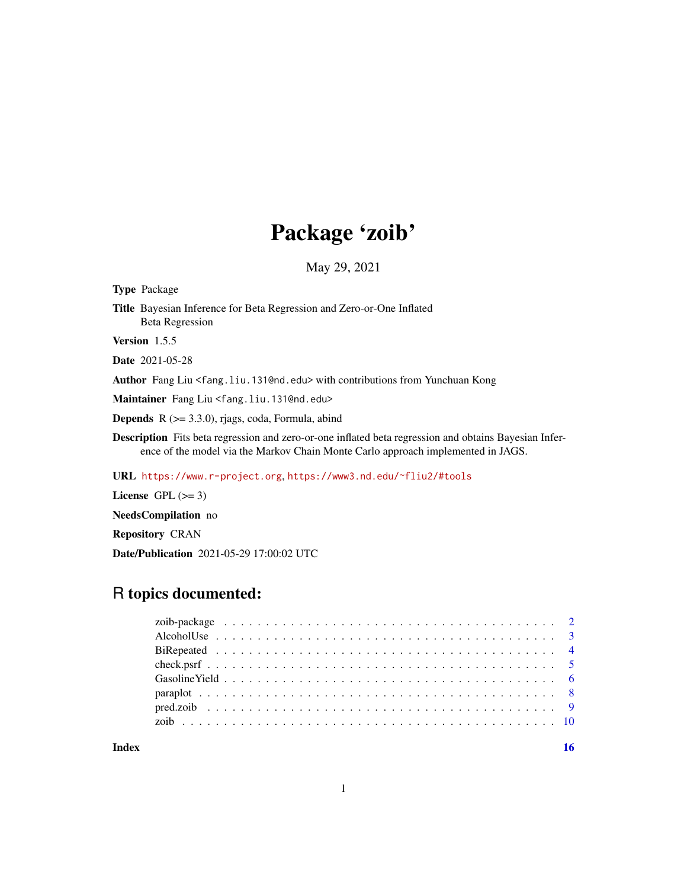# Package 'zoib'

May 29, 2021

<span id="page-0-0"></span>Type Package Title Bayesian Inference for Beta Regression and Zero-or-One Inflated Beta Regression Version 1.5.5 Date 2021-05-28 Author Fang Liu <fang.liu.131@nd.edu> with contributions from Yunchuan Kong Maintainer Fang Liu <fang.liu.131@nd.edu> Depends R (>= 3.3.0), rjags, coda, Formula, abind

Description Fits beta regression and zero-or-one inflated beta regression and obtains Bayesian Inference of the model via the Markov Chain Monte Carlo approach implemented in JAGS.

URL <https://www.r-project.org>, <https://www3.nd.edu/~fliu2/#tools>

License GPL  $(>= 3)$ 

NeedsCompilation no

Repository CRAN

Date/Publication 2021-05-29 17:00:02 UTC

# R topics documented:

**Index** the contract of the contract of the contract of the contract of the contract of the contract of the contract of the contract of the contract of the contract of the contract of the contract of the contract of the co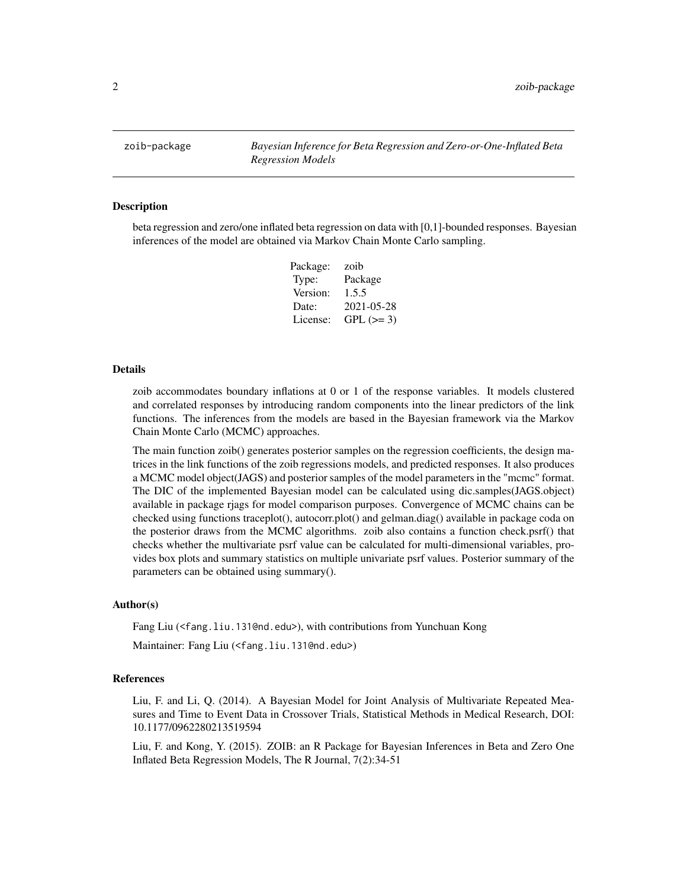<span id="page-1-0"></span>zoib-package *Bayesian Inference for Beta Regression and Zero-or-One-Inflated Beta Regression Models*

#### Description

beta regression and zero/one inflated beta regression on data with [0,1]-bounded responses. Bayesian inferences of the model are obtained via Markov Chain Monte Carlo sampling.

| Package: | zoib       |
|----------|------------|
| Type:    | Package    |
| Version: | 1.5.5      |
| Date:    | 2021-05-28 |
| License: | $GPL (=3)$ |

#### Details

zoib accommodates boundary inflations at 0 or 1 of the response variables. It models clustered and correlated responses by introducing random components into the linear predictors of the link functions. The inferences from the models are based in the Bayesian framework via the Markov Chain Monte Carlo (MCMC) approaches.

The main function zoib() generates posterior samples on the regression coefficients, the design matrices in the link functions of the zoib regressions models, and predicted responses. It also produces a MCMC model object(JAGS) and posterior samples of the model parameters in the "mcmc" format. The DIC of the implemented Bayesian model can be calculated using dic.samples(JAGS.object) available in package rjags for model comparison purposes. Convergence of MCMC chains can be checked using functions traceplot(), autocorr.plot() and gelman.diag() available in package coda on the posterior draws from the MCMC algorithms. zoib also contains a function check.psrf() that checks whether the multivariate psrf value can be calculated for multi-dimensional variables, provides box plots and summary statistics on multiple univariate psrf values. Posterior summary of the parameters can be obtained using summary().

#### Author(s)

Fang Liu (<fang.liu.131@nd.edu>), with contributions from Yunchuan Kong Maintainer: Fang Liu (<fang.liu.131@nd.edu>)

#### References

Liu, F. and Li, Q. (2014). A Bayesian Model for Joint Analysis of Multivariate Repeated Measures and Time to Event Data in Crossover Trials, Statistical Methods in Medical Research, DOI: 10.1177/0962280213519594

Liu, F. and Kong, Y. (2015). ZOIB: an R Package for Bayesian Inferences in Beta and Zero One Inflated Beta Regression Models, The R Journal, 7(2):34-51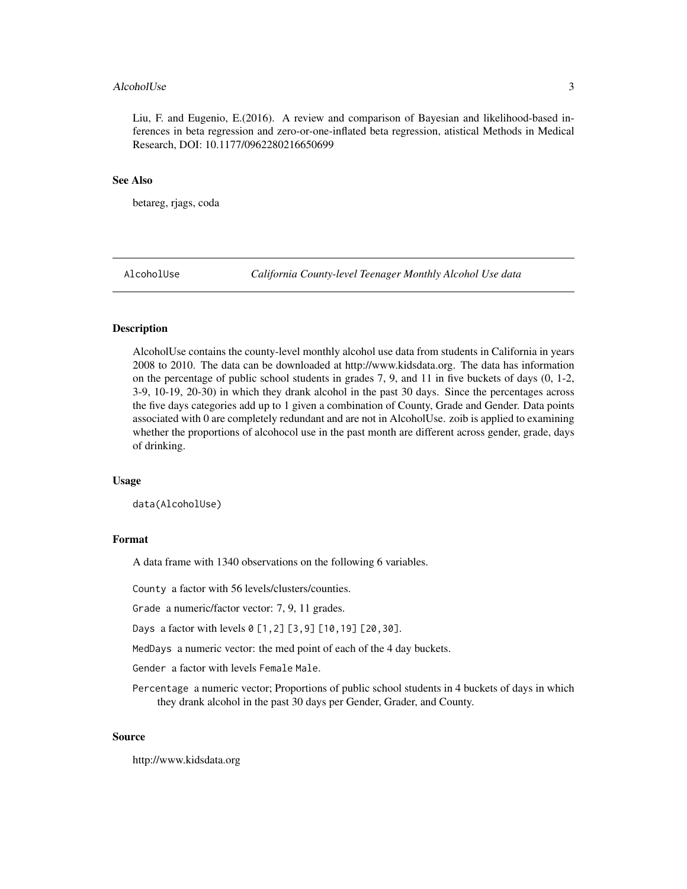#### <span id="page-2-0"></span>AlcoholUse 3

Liu, F. and Eugenio, E.(2016). A review and comparison of Bayesian and likelihood-based inferences in beta regression and zero-or-one-inflated beta regression, atistical Methods in Medical Research, DOI: 10.1177/0962280216650699

#### See Also

betareg, rjags, coda

AlcoholUse *California County-level Teenager Monthly Alcohol Use data*

#### **Description**

AlcoholUse contains the county-level monthly alcohol use data from students in California in years 2008 to 2010. The data can be downloaded at http://www.kidsdata.org. The data has information on the percentage of public school students in grades 7, 9, and 11 in five buckets of days (0, 1-2, 3-9, 10-19, 20-30) in which they drank alcohol in the past 30 days. Since the percentages across the five days categories add up to 1 given a combination of County, Grade and Gender. Data points associated with 0 are completely redundant and are not in AlcoholUse. zoib is applied to examining whether the proportions of alcohocol use in the past month are different across gender, grade, days of drinking.

#### Usage

data(AlcoholUse)

#### Format

A data frame with 1340 observations on the following 6 variables.

County a factor with 56 levels/clusters/counties.

Grade a numeric/factor vector: 7, 9, 11 grades.

Days a factor with levels 0 [1,2] [3,9] [10,19] [20,30].

MedDays a numeric vector: the med point of each of the 4 day buckets.

Gender a factor with levels Female Male.

Percentage a numeric vector; Proportions of public school students in 4 buckets of days in which they drank alcohol in the past 30 days per Gender, Grader, and County.

#### Source

http://www.kidsdata.org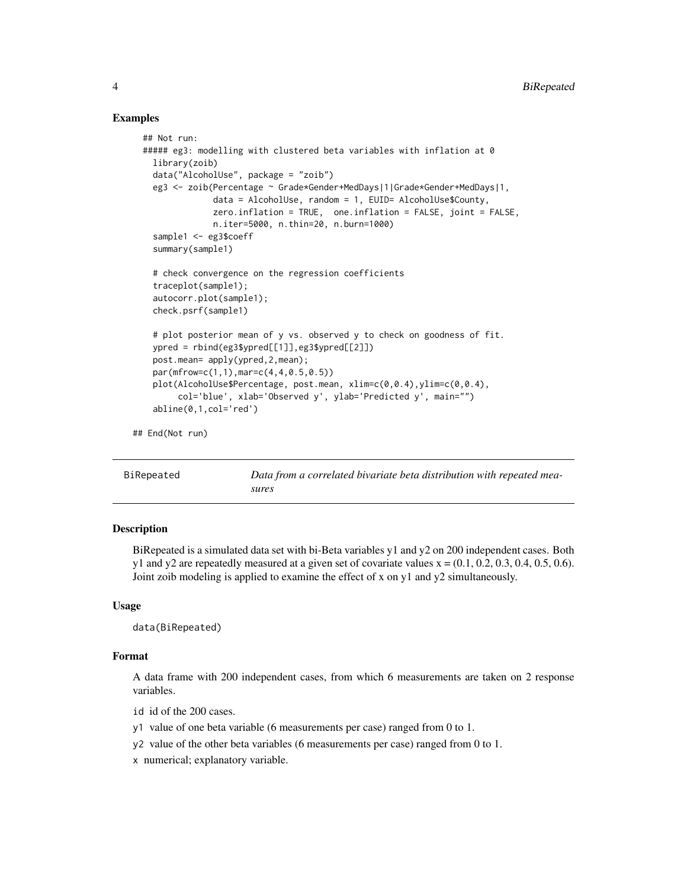#### Examples

```
## Not run:
##### eg3: modelling with clustered beta variables with inflation at 0
  library(zoib)
  data("AlcoholUse", package = "zoib")
  eg3 <- zoib(Percentage ~ Grade*Gender+MedDays|1|Grade*Gender+MedDays|1,
              data = AlcoholUse, random = 1, EUID= AlcoholUse$County,
              zero.inflation = TRUE, one.inflation = FALSE, joint = FALSE,
              n.iter=5000, n.thin=20, n.burn=1000)
  sample1 <- eg3$coeff
  summary(sample1)
  # check convergence on the regression coefficients
  traceplot(sample1);
  autocorr.plot(sample1);
  check.psrf(sample1)
  # plot posterior mean of y vs. observed y to check on goodness of fit.
  ypred = rbind(eg3$ypred[[1]],eg3$ypred[[2]])
  post.mean= apply(ypred,2,mean);
  par(mfrow=c(1,1),mar=c(4,4,0.5,0.5))
  plot(AlcoholUse$Percentage, post.mean, xlim=c(0,0.4),ylim=c(0,0.4),
       col='blue', xlab='Observed y', ylab='Predicted y', main="")
  abline(0,1,col='red')
```
## End(Not run)

| BiRepeated | Data from a correlated bivariate beta distribution with repeated mea- |
|------------|-----------------------------------------------------------------------|
|            | sures                                                                 |

#### **Description**

BiRepeated is a simulated data set with bi-Beta variables y1 and y2 on 200 independent cases. Both y1 and y2 are repeatedly measured at a given set of covariate values  $x = (0.1, 0.2, 0.3, 0.4, 0.5, 0.6)$ . Joint zoib modeling is applied to examine the effect of x on y1 and y2 simultaneously.

#### Usage

data(BiRepeated)

#### Format

A data frame with 200 independent cases, from which 6 measurements are taken on 2 response variables.

- id id of the 200 cases.
- y1 value of one beta variable (6 measurements per case) ranged from 0 to 1.
- y2 value of the other beta variables (6 measurements per case) ranged from 0 to 1.
- x numerical; explanatory variable.

<span id="page-3-0"></span>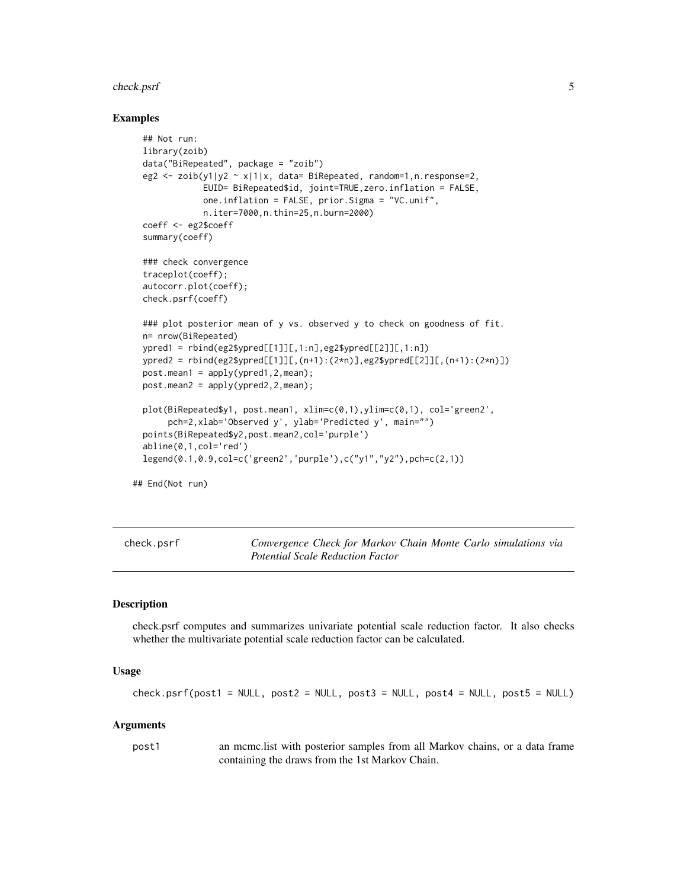#### <span id="page-4-0"></span>check.psrf 5

#### Examples

```
## Not run:
library(zoib)
data("BiRepeated", package = "zoib")
eg2 <- zoib(y1|y2 ~ x|1|x, data= BiRepeated, random=1,n.response=2,
            EUID= BiRepeated$id, joint=TRUE,zero.inflation = FALSE,
            one.inflation = FALSE, prior.Sigma = "VC.unif",
            n.iter=7000,n.thin=25,n.burn=2000)
coeff <- eg2$coeff
summary(coeff)
### check convergence
traceplot(coeff);
autocorr.plot(coeff);
check.psrf(coeff)
### plot posterior mean of y vs. observed y to check on goodness of fit.
n= nrow(BiRepeated)
ypred1 = rbind(eg2$ypred[[1]][,1:n], eg2$ypred[[2]][,1:n])ypred2 = rbind(eg2$ypred[[1]][,(n+1):(2*n)],eg2$ypred[[2]][,(n+1):(2*n)]post_mean1 = apply(ypred1, 2, mean);post.mean2 = apply(ypred2,2,mean);
plot(BiRepeated$y1, post.mean1, xlim=c(0,1),ylim=c(0,1), col='green2',
     pch=2,xlab='Observed y', ylab='Predicted y', main="")
points(BiRepeated$y2,post.mean2,col='purple')
abline(0,1,col='red')
legend(0.1,0.9,col=c('green2','purple'),c("y1","y2"),pch=c(2,1))
```
## End(Not run)

check.psrf *Convergence Check for Markov Chain Monte Carlo simulations via Potential Scale Reduction Factor*

#### Description

check.psrf computes and summarizes univariate potential scale reduction factor. It also checks whether the multivariate potential scale reduction factor can be calculated.

#### Usage

```
check.psf(post1 = NULL, post2 = NULL, post3 = NULL, post4 = NULL, post5 = NULL)
```
#### Arguments

post1 an mcmc.list with posterior samples from all Markov chains, or a data frame containing the draws from the 1st Markov Chain.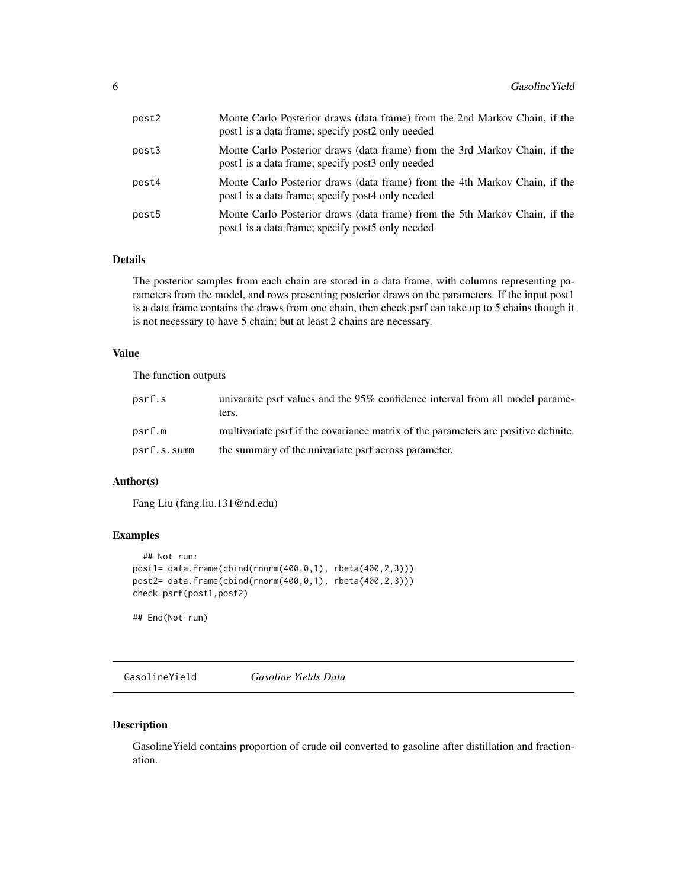<span id="page-5-0"></span>

| post2 | Monte Carlo Posterior draws (data frame) from the 2nd Markov Chain, if the<br>post1 is a data frame; specify post2 only needed |
|-------|--------------------------------------------------------------------------------------------------------------------------------|
| post3 | Monte Carlo Posterior draws (data frame) from the 3rd Markov Chain, if the<br>post1 is a data frame; specify post3 only needed |
| post4 | Monte Carlo Posterior draws (data frame) from the 4th Markov Chain, if the<br>post1 is a data frame; specify post4 only needed |
| post5 | Monte Carlo Posterior draws (data frame) from the 5th Markov Chain, if the<br>post1 is a data frame; specify post5 only needed |

# Details

The posterior samples from each chain are stored in a data frame, with columns representing parameters from the model, and rows presenting posterior draws on the parameters. If the input post1 is a data frame contains the draws from one chain, then check.psrf can take up to 5 chains though it is not necessary to have 5 chain; but at least 2 chains are necessary.

#### Value

The function outputs

| psrf.s      | univariate psrf values and the 95% confidence interval from all model parame-<br>ters. |
|-------------|----------------------------------------------------------------------------------------|
| psrf.m      | multivariate psrf if the covariance matrix of the parameters are positive definite.    |
| psrf.s.summ | the summary of the univariate psrf across parameter.                                   |

#### Author(s)

Fang Liu (fang.liu.131@nd.edu)

#### Examples

```
## Not run:
post1= data.frame(cbind(rnorm(400,0,1), rbeta(400,2,3)))
post2= data.frame(cbind(rnorm(400,0,1), rbeta(400,2,3)))
check.psrf(post1,post2)
```
## End(Not run)

GasolineYield *Gasoline Yields Data*

#### Description

GasolineYield contains proportion of crude oil converted to gasoline after distillation and fractionation.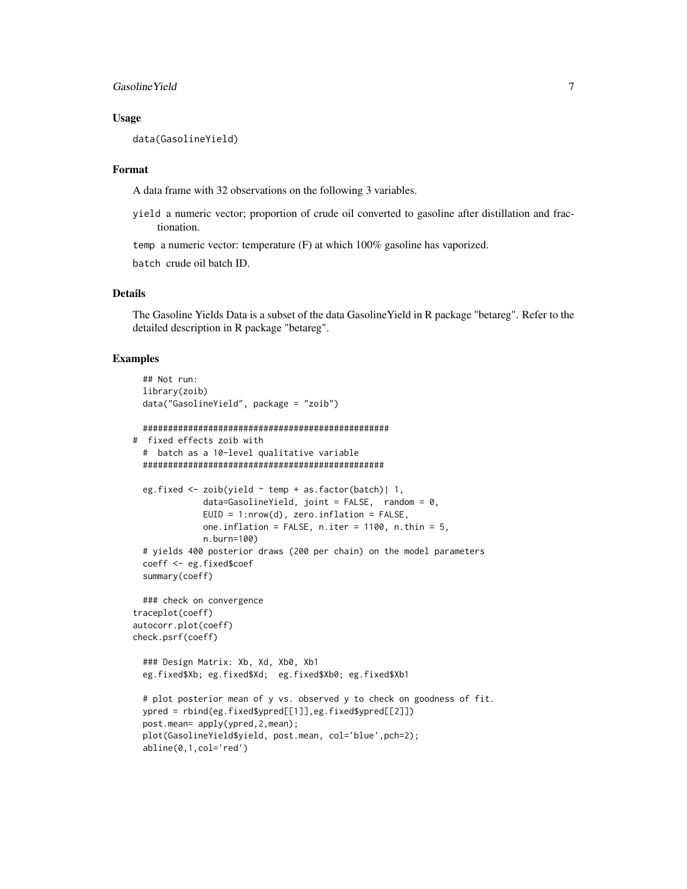#### Gasoline Yield 7

#### Usage

data(GasolineYield)

#### Format

A data frame with 32 observations on the following 3 variables.

yield a numeric vector; proportion of crude oil converted to gasoline after distillation and fractionation.

temp a numeric vector: temperature (F) at which 100% gasoline has vaporized.

batch crude oil batch ID.

#### Details

The Gasoline Yields Data is a subset of the data GasolineYield in R package "betareg". Refer to the detailed description in R package "betareg".

#### Examples

```
## Not run:
 library(zoib)
 data("GasolineYield", package = "zoib")
 #################################################
# fixed effects zoib with
 # batch as a 10-level qualitative variable
 ################################################
 eg.fixed <- zoib(yield ~ temp + as.factor(batch)| 1,
              data=GasolineYield, joint = FALSE, random = 0,
             EUID = 1: nrow(d), zero.inflation = FALSE,one.inflation = FALSE, n.iter = 1100, n.thin = 5,n.burn=100)
 # yields 400 posterior draws (200 per chain) on the model parameters
 coeff <- eg.fixed$coef
 summary(coeff)
 ### check on convergence
traceplot(coeff)
autocorr.plot(coeff)
check.psrf(coeff)
 ### Design Matrix: Xb, Xd, Xb0, Xb1
 eg.fixed$Xb; eg.fixed$Xd; eg.fixed$Xb0; eg.fixed$Xb1
 # plot posterior mean of y vs. observed y to check on goodness of fit.
 ypred = rbind(eg.fixed$ypred[[1]],eg.fixed$ypred[[2]])
 post.mean= apply(ypred,2,mean);
 plot(GasolineYield$yield, post.mean, col='blue',pch=2);
 abline(0,1,col='red')
```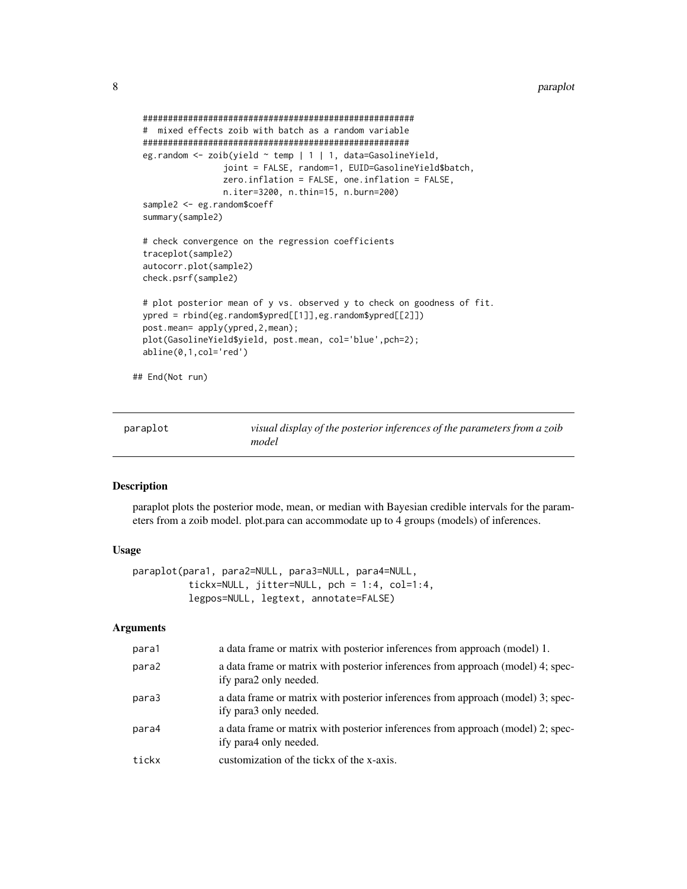```
######################################################
 # mixed effects zoib with batch as a random variable
 #####################################################
 eg.random <- zoib(yield ~ temp | 1 | 1, data=GasolineYield,
                 joint = FALSE, random=1, EUID=GasolineYield$batch,
                 zero.inflation = FALSE, one.inflation = FALSE,
                 n.iter=3200, n.thin=15, n.burn=200)
 sample2 <- eg.random$coeff
 summary(sample2)
 # check convergence on the regression coefficients
 traceplot(sample2)
 autocorr.plot(sample2)
 check.psrf(sample2)
 # plot posterior mean of y vs. observed y to check on goodness of fit.
 ypred = rbind(eg.random$ypred[[1]],eg.random$ypred[[2]])
 post.mean= apply(ypred,2,mean);
 plot(GasolineYield$yield, post.mean, col='blue',pch=2);
 abline(0,1,col='red')
## End(Not run)
```

| paraplot | visual display of the posterior inferences of the parameters from a zoib |
|----------|--------------------------------------------------------------------------|
|          | model                                                                    |

#### Description

paraplot plots the posterior mode, mean, or median with Bayesian credible intervals for the parameters from a zoib model. plot.para can accommodate up to 4 groups (models) of inferences.

#### Usage

```
paraplot(para1, para2=NULL, para3=NULL, para4=NULL,
          tickx=NULL, jitter=NULL, pch = 1:4, col=1:4,
          legpos=NULL, legtext, annotate=FALSE)
```
#### Arguments

| para1 | a data frame or matrix with posterior inferences from approach (model) 1.                                 |
|-------|-----------------------------------------------------------------------------------------------------------|
| para2 | a data frame or matrix with posterior inferences from approach (model) 4; spec-<br>ify para2 only needed. |
| para3 | a data frame or matrix with posterior inferences from approach (model) 3; spec-<br>ify para3 only needed. |
| para4 | a data frame or matrix with posterior inferences from approach (model) 2; spec-<br>ify para4 only needed. |
| tickx | customization of the tickx of the x-axis.                                                                 |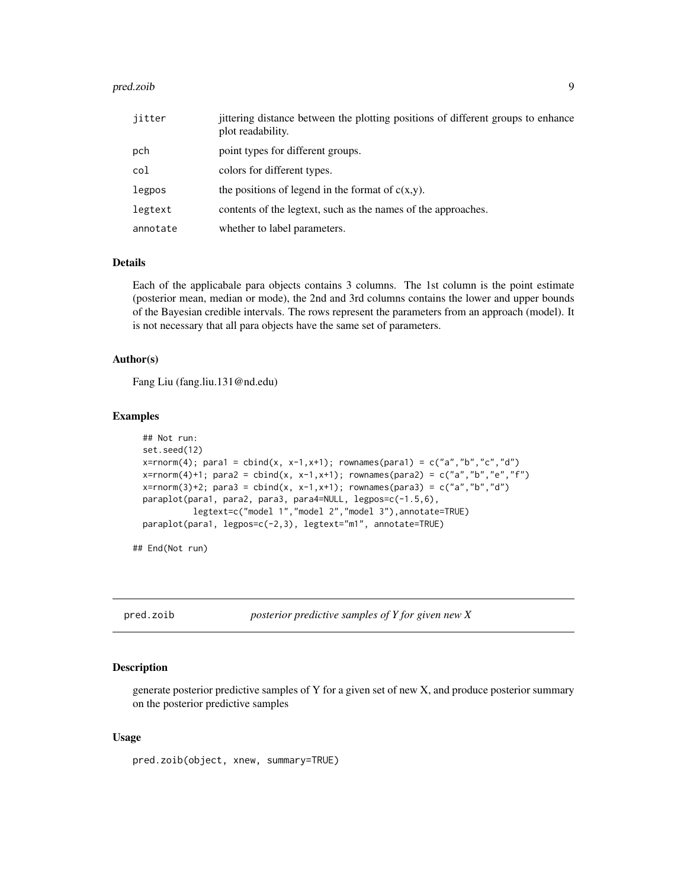#### <span id="page-8-0"></span>pred.zoib 9

| iitter   | jittering distance between the plotting positions of different groups to enhance<br>plot readability. |
|----------|-------------------------------------------------------------------------------------------------------|
| pch      | point types for different groups.                                                                     |
| col      | colors for different types.                                                                           |
| legpos   | the positions of legend in the format of $c(x,y)$ .                                                   |
| legtext  | contents of the legtext, such as the names of the approaches.                                         |
| annotate | whether to label parameters.                                                                          |

#### Details

Each of the applicabale para objects contains 3 columns. The 1st column is the point estimate (posterior mean, median or mode), the 2nd and 3rd columns contains the lower and upper bounds of the Bayesian credible intervals. The rows represent the parameters from an approach (model). It is not necessary that all para objects have the same set of parameters.

### Author(s)

Fang Liu (fang.liu.131@nd.edu)

#### Examples

```
## Not run:
set.seed(12)
x=rnorm(4); para1 = cbind(x, x-1, x+1); rownames(para1) = c("a","b","c","d")
x=rnorm(4)+1; para2 = cbind(x, x-1,x+1); rownames(para2) = c("a","b","e","f")
x=rnorm(3)+2; para3 = cbind(x, x-1,x+1); rownames(para3) = c("a","b","d")
paraplot(para1, para2, para3, para4=NULL, legpos=c(-1.5,6),
          legtext=c("model 1","model 2","model 3"),annotate=TRUE)
paraplot(para1, legpos=c(-2,3), legtext="m1", annotate=TRUE)
```
## End(Not run)

pred.zoib *posterior predictive samples of Y for given new X*

# Description

generate posterior predictive samples of Y for a given set of new X, and produce posterior summary on the posterior predictive samples

#### Usage

pred.zoib(object, xnew, summary=TRUE)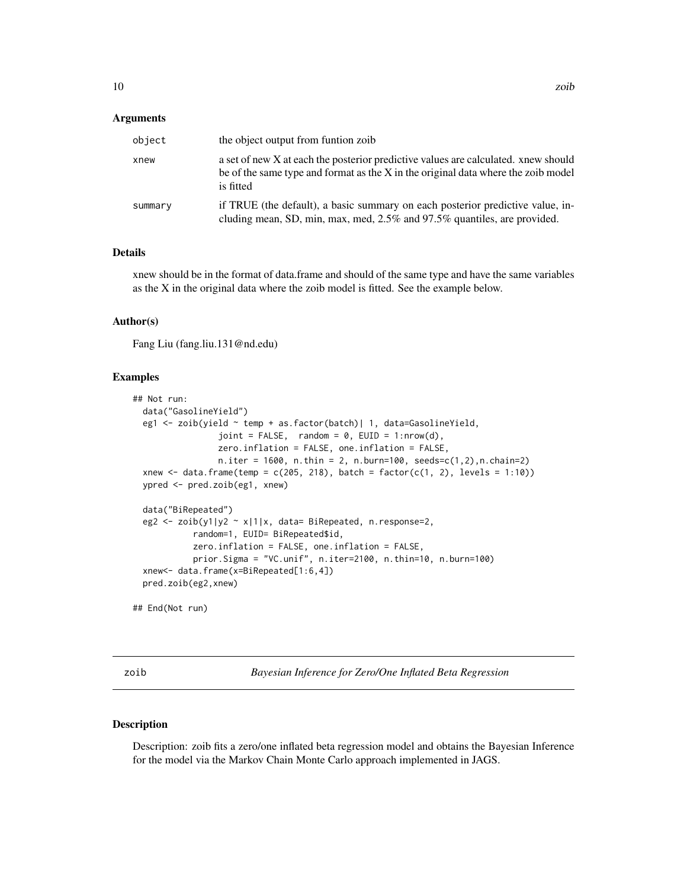#### <span id="page-9-0"></span>Arguments

| object  | the object output from funtion zoib                                                                                                                                                  |
|---------|--------------------------------------------------------------------------------------------------------------------------------------------------------------------------------------|
| xnew    | a set of new X at each the posterior predictive values are calculated, xnew should<br>be of the same type and format as the X in the original data where the zoib model<br>is fitted |
| summary | if TRUE (the default), a basic summary on each posterior predictive value, in-<br>cluding mean, SD, min, max, med, 2.5% and 97.5% quantiles, are provided.                           |

## Details

xnew should be in the format of data.frame and should of the same type and have the same variables as the X in the original data where the zoib model is fitted. See the example below.

## Author(s)

Fang Liu (fang.liu.131@nd.edu)

#### Examples

```
## Not run:
 data("GasolineYield")
 eg1 <- zoib(yield ~ temp + as.factor(batch)| 1, data=GasolineYield,
                 joint = FALSE, random = 0, EUID = 1:nrow(d),
                 zero.inflation = FALSE, one.inflation = FALSE,
                 n.iter = 1600, n.thin = 2, n.burn=100, seeds=c(1,2), n.chain=2)xnew \le data.frame(temp = c(205, 218), batch = factor(c(1, 2), levels = 1:10))
 ypred <- pred.zoib(eg1, xnew)
 data("BiRepeated")
 eg2 <- zoib(y1|y2 ~ x|1|x, data= BiRepeated, n.response=2,
            random=1, EUID= BiRepeated$id,
            zero.inflation = FALSE, one.inflation = FALSE,
            prior.Sigma = "VC.unif", n.iter=2100, n.thin=10, n.burn=100)
 xnew<- data.frame(x=BiRepeated[1:6,4])
 pred.zoib(eg2,xnew)
## End(Not run)
```
zoib *Bayesian Inference for Zero/One Inflated Beta Regression*

#### Description

Description: zoib fits a zero/one inflated beta regression model and obtains the Bayesian Inference for the model via the Markov Chain Monte Carlo approach implemented in JAGS.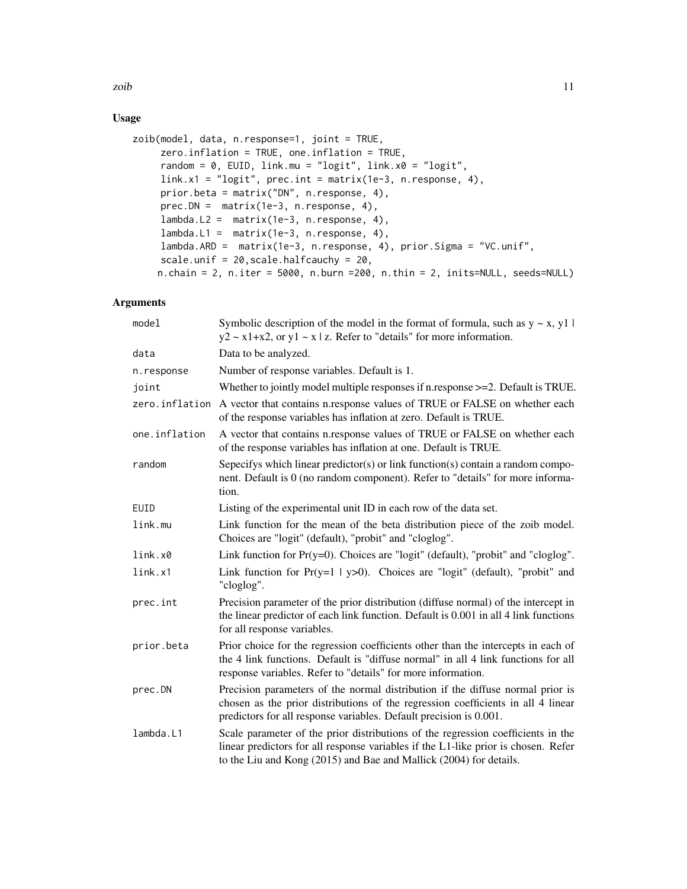zoib<sup>11</sup>

# Usage

```
zoib(model, data, n.response=1, joint = TRUE,
     zero.inflation = TRUE, one.inflation = TRUE,
     random = 0, EUID, link.mu = "logit", link.x0 = "logit",
     link.x1 = "logit", prec.int = matrix(1e-3, n.response, 4),
     prior.beta = matrix("DN", n.response, 4),
     prec.DN = matrix(1e-3, n.response, 4),
     lambda.L2 = matrix(1e-3, n.response, 4),
     lambda.L1 = matrix(1e-3, n.response, 4),lambda.ARD = matrix(1e-3, n.response, 4), prior.Sigma = "VC.unif",
     scale.unif = 20,scale.halfcauchy = 20,
    n.chain = 2, n.iter = 5000, n.burn =200, n.thin = 2, inits=NULL, seeds=NULL)
```
# Arguments

| model          | Symbolic description of the model in the format of formula, such as $y \sim x$ , y1  <br>$y2 \sim x1+x2$ , or $y1 \sim x \mid z$ . Refer to "details" for more information.                                                                  |
|----------------|----------------------------------------------------------------------------------------------------------------------------------------------------------------------------------------------------------------------------------------------|
| data           | Data to be analyzed.                                                                                                                                                                                                                         |
| n.response     | Number of response variables. Default is 1.                                                                                                                                                                                                  |
| joint          | Whether to jointly model multiple responses if n.response $>=$ 2. Default is TRUE.                                                                                                                                                           |
| zero.inflation | A vector that contains n.response values of TRUE or FALSE on whether each<br>of the response variables has inflation at zero. Default is TRUE.                                                                                               |
| one.inflation  | A vector that contains n.response values of TRUE or FALSE on whether each<br>of the response variables has inflation at one. Default is TRUE.                                                                                                |
| random         | Sepecifys which linear predictor(s) or link function(s) contain a random compo-<br>nent. Default is 0 (no random component). Refer to "details" for more informa-<br>tion.                                                                   |
| EUID           | Listing of the experimental unit ID in each row of the data set.                                                                                                                                                                             |
| link.mu        | Link function for the mean of the beta distribution piece of the zoib model.<br>Choices are "logit" (default), "probit" and "cloglog".                                                                                                       |
| link.x0        | Link function for $Pr(y=0)$ . Choices are "logit" (default), "probit" and "cloglog".                                                                                                                                                         |
| link.x1        | Link function for $Pr(y=1   y>0)$ . Choices are "logit" (default), "probit" and<br>"cloglog".                                                                                                                                                |
| prec.int       | Precision parameter of the prior distribution (diffuse normal) of the intercept in<br>the linear predictor of each link function. Default is 0.001 in all 4 link functions<br>for all response variables.                                    |
| prior.beta     | Prior choice for the regression coefficients other than the intercepts in each of<br>the 4 link functions. Default is "diffuse normal" in all 4 link functions for all<br>response variables. Refer to "details" for more information.       |
| prec.DN        | Precision parameters of the normal distribution if the diffuse normal prior is<br>chosen as the prior distributions of the regression coefficients in all 4 linear<br>predictors for all response variables. Default precision is 0.001.     |
| lambda.L1      | Scale parameter of the prior distributions of the regression coefficients in the<br>linear predictors for all response variables if the L1-like prior is chosen. Refer<br>to the Liu and Kong (2015) and Bae and Mallick (2004) for details. |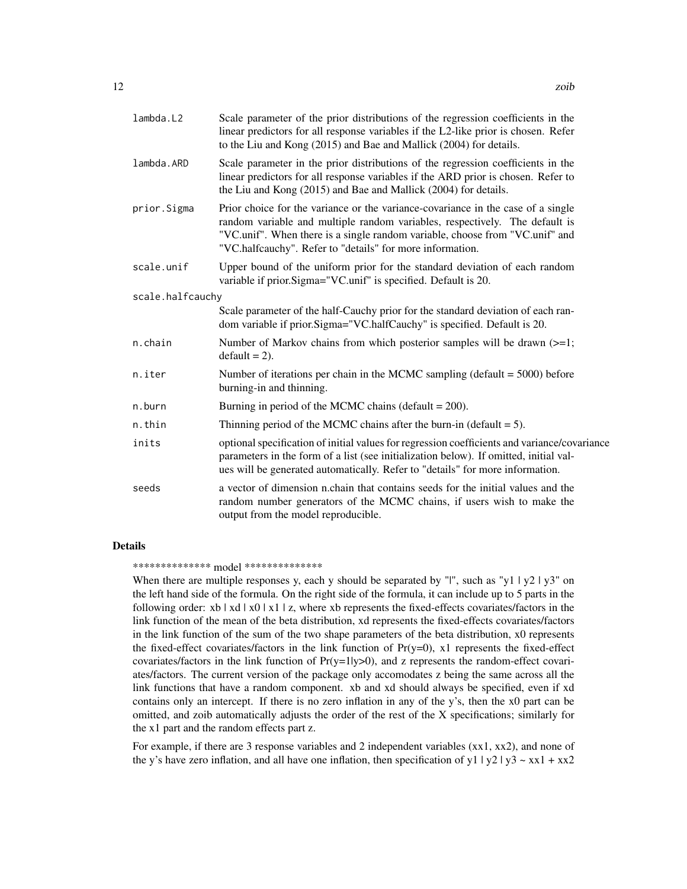| lambda.L2        | Scale parameter of the prior distributions of the regression coefficients in the<br>linear predictors for all response variables if the L2-like prior is chosen. Refer<br>to the Liu and Kong (2015) and Bae and Mallick (2004) for details.                                                                 |  |
|------------------|--------------------------------------------------------------------------------------------------------------------------------------------------------------------------------------------------------------------------------------------------------------------------------------------------------------|--|
| lambda.ARD       | Scale parameter in the prior distributions of the regression coefficients in the<br>linear predictors for all response variables if the ARD prior is chosen. Refer to<br>the Liu and Kong (2015) and Bae and Mallick (2004) for details.                                                                     |  |
| prior.Sigma      | Prior choice for the variance or the variance-covariance in the case of a single<br>random variable and multiple random variables, respectively. The default is<br>"VC.unif". When there is a single random variable, choose from "VC.unif" and<br>"VC.halfcauchy". Refer to "details" for more information. |  |
| scale.unif       | Upper bound of the uniform prior for the standard deviation of each random<br>variable if prior.Sigma="VC.unif" is specified. Default is 20.                                                                                                                                                                 |  |
| scale.halfcauchy |                                                                                                                                                                                                                                                                                                              |  |
|                  | Scale parameter of the half-Cauchy prior for the standard deviation of each ran-<br>dom variable if prior. Sigma="VC.halfCauchy" is specified. Default is 20.                                                                                                                                                |  |
| n.chain          | Number of Markov chains from which posterior samples will be drawn $(>=1;$<br>$default = 2$ ).                                                                                                                                                                                                               |  |
| n.iter           | Number of iterations per chain in the MCMC sampling (default $= 5000$ ) before<br>burning-in and thinning.                                                                                                                                                                                                   |  |
| n.burn           | Burning in period of the MCMC chains (default $= 200$ ).                                                                                                                                                                                                                                                     |  |
| n.thin           | Thinning period of the MCMC chains after the burn-in (default $= 5$ ).                                                                                                                                                                                                                                       |  |
| inits            | optional specification of initial values for regression coefficients and variance/covariance<br>parameters in the form of a list (see initialization below). If omitted, initial val-<br>ues will be generated automatically. Refer to "details" for more information.                                       |  |
| seeds            | a vector of dimension n.chain that contains seeds for the initial values and the<br>random number generators of the MCMC chains, if users wish to make the<br>output from the model reproducible.                                                                                                            |  |

#### Details

\*\*\*\*\*\*\*\*\*\*\*\*\*\* model \*\*\*\*\*\*\*\*\*\*\*\*\*\*

When there are multiple responses y, each y should be separated by "|", such as "y1 | y2 | y3" on the left hand side of the formula. On the right side of the formula, it can include up to 5 parts in the following order:  $x b | x d | x 0 | x 1 | z$ , where xb represents the fixed-effects covariates/factors in the link function of the mean of the beta distribution, xd represents the fixed-effects covariates/factors in the link function of the sum of the two shape parameters of the beta distribution, x0 represents the fixed-effect covariates/factors in the link function of  $Pr(y=0)$ , x1 represents the fixed-effect covariates/factors in the link function of  $Pr(y=1|y>0)$ , and z represents the random-effect covariates/factors. The current version of the package only accomodates z being the same across all the link functions that have a random component. xb and xd should always be specified, even if xd contains only an intercept. If there is no zero inflation in any of the y's, then the x0 part can be omitted, and zoib automatically adjusts the order of the rest of the X specifications; similarly for the x1 part and the random effects part z.

For example, if there are 3 response variables and 2 independent variables (xx1, xx2), and none of the y's have zero inflation, and all have one inflation, then specification of y1 | y2 | y3 ~ xx1 + xx2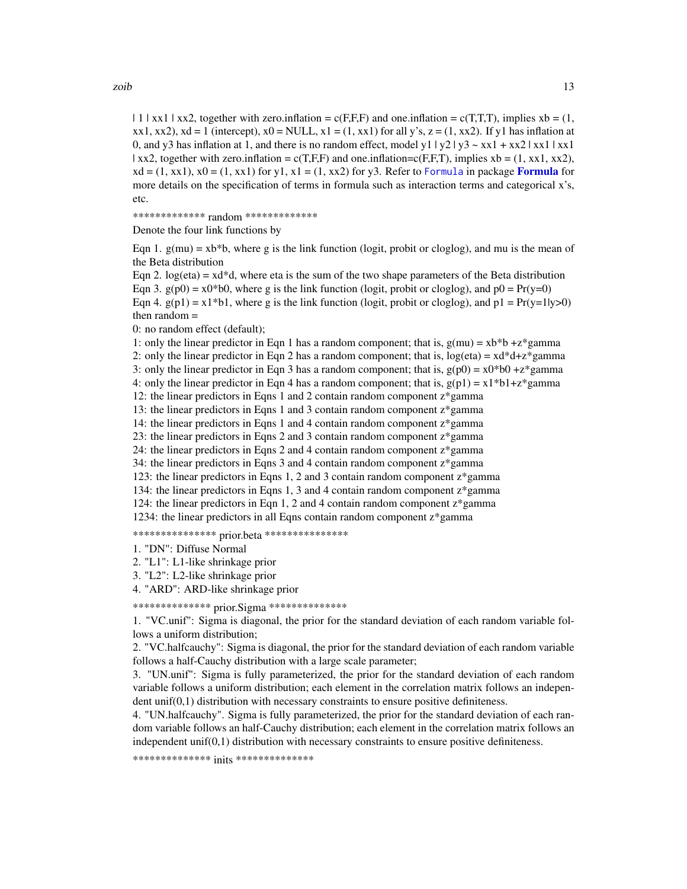<span id="page-12-0"></span> $| 1 |$  xx1 | xx2, together with zero.inflation = c(F,F,F) and one.inflation = c(T,T,T), implies xb = (1,  $xx1, xx2$ ),  $xd = 1$  (intercept),  $x0 = NULL$ ,  $x1 = (1, xx1)$  for all y's,  $z = (1, xx2)$ . If y1 has inflation at 0, and y3 has inflation at 1, and there is no random effect, model y1  $|y2|y3 \sim x x1 + x x2 |x x1 |x x1$ | xx2, together with zero.inflation =  $c(T,F,F)$  and one.inflation= $c(F,F,T)$ , implies xb = (1, xx1, xx2),  $xd = (1, xx1), x0 = (1, xx1)$  for y1,  $x1 = (1, xx2)$  for y3. Refer to [Formula](#page-0-0) in package **Formula** for more details on the specification of terms in formula such as interaction terms and categorical x's, etc.

\*\*\*\*\*\*\*\*\*\*\*\*\* random \*\*\*\*\*\*\*\*\*\*\*\*\*

Denote the four link functions by

Eqn 1.  $g(mu) = xb*b$ , where g is the link function (logit, probit or cloglog), and mu is the mean of the Beta distribution

Eqn 2. log(eta) =  $xd*d$ , where eta is the sum of the two shape parameters of the Beta distribution Eqn 3.  $g(p0) = x0*b0$ , where g is the link function (logit, probit or cloglog), and  $p0 = Pr(y=0)$ Eqn 4.  $g(p1) = x1 * b1$ , where g is the link function (logit, probit or cloglog), and  $p1 = Pr(y=1|y>0)$ then random =

0: no random effect (default);

1: only the linear predictor in Eqn 1 has a random component; that is,  $g(mu) = xb*b + z*gamma$ 2: only the linear predictor in Eqn 2 has a random component; that is,  $log(eta) = xd*dt + z*gamma$ 3: only the linear predictor in Eqn 3 has a random component; that is,  $g(p0) = x0*b0 + z*gamma$ 4: only the linear predictor in Eqn 4 has a random component; that is,  $g(p1) = x1 * b1 + z * gamma$ 12: the linear predictors in Eqns 1 and 2 contain random component z\*gamma 13: the linear predictors in Eqns 1 and 3 contain random component z\*gamma 14: the linear predictors in Eqns 1 and 4 contain random component z\*gamma 23: the linear predictors in Eqns 2 and 3 contain random component z\*gamma 24: the linear predictors in Eqns 2 and 4 contain random component z\*gamma 34: the linear predictors in Eqns 3 and 4 contain random component z\*gamma 123: the linear predictors in Eqns 1, 2 and 3 contain random component z\*gamma 134: the linear predictors in Eqns 1, 3 and 4 contain random component z\*gamma 124: the linear predictors in Eqn 1, 2 and 4 contain random component z\*gamma 1234: the linear predictors in all Eqns contain random component z\*gamma

\*\*\*\*\*\*\*\*\*\*\*\*\*\*\*\*\* prior.beta \*\*\*\*\*\*\*\*\*\*\*\*\*\*\*\*

1. "DN": Diffuse Normal

2. "L1": L1-like shrinkage prior

3. "L2": L2-like shrinkage prior

4. "ARD": ARD-like shrinkage prior

\*\*\*\*\*\*\*\*\*\*\*\*\*\* prior.Sigma \*\*\*\*\*\*\*\*\*\*\*\*\*\*

1. "VC.unif": Sigma is diagonal, the prior for the standard deviation of each random variable follows a uniform distribution;

2. "VC.halfcauchy": Sigma is diagonal, the prior for the standard deviation of each random variable follows a half-Cauchy distribution with a large scale parameter;

3. "UN.unif": Sigma is fully parameterized, the prior for the standard deviation of each random variable follows a uniform distribution; each element in the correlation matrix follows an independent unif(0,1) distribution with necessary constraints to ensure positive definiteness.

4. "UN.halfcauchy". Sigma is fully parameterized, the prior for the standard deviation of each random variable follows an half-Cauchy distribution; each element in the correlation matrix follows an independent  $\text{unif}(0,1)$  distribution with necessary constraints to ensure positive definiteness.

\*\*\*\*\*\*\*\*\*\*\*\*\*\* inits \*\*\*\*\*\*\*\*\*\*\*\*\*\*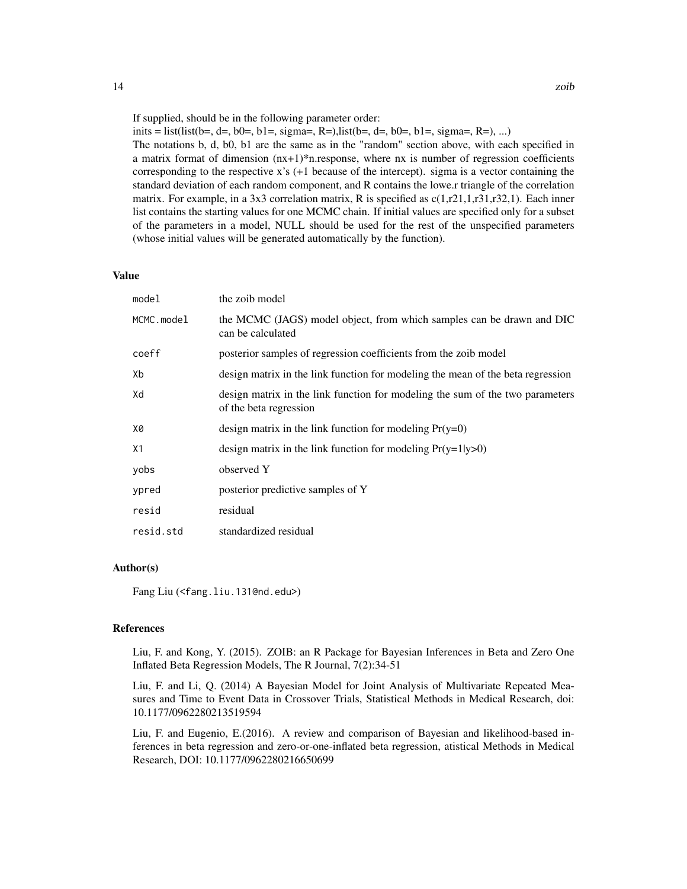If supplied, should be in the following parameter order:

inits = list(list(b=, d=, b0=, b1=, sigma=, R=),list(b=, d=, b0=, b1=, sigma=, R=), ...)

The notations b, d, b0, b1 are the same as in the "random" section above, with each specified in a matrix format of dimension  $(nx+1)*n$ .response, where nx is number of regression coefficients corresponding to the respective x's (+1 because of the intercept). sigma is a vector containing the standard deviation of each random component, and R contains the lowe.r triangle of the correlation matrix. For example, in a 3x3 correlation matrix, R is specified as  $c(1,r21,1,r31,r32,1)$ . Each inner list contains the starting values for one MCMC chain. If initial values are specified only for a subset of the parameters in a model, NULL should be used for the rest of the unspecified parameters (whose initial values will be generated automatically by the function).

#### Value

| model      | the zoib model                                                                                          |
|------------|---------------------------------------------------------------------------------------------------------|
| MCMC.model | the MCMC (JAGS) model object, from which samples can be drawn and DIC<br>can be calculated              |
| coeff      | posterior samples of regression coefficients from the zoib model                                        |
| Xb         | design matrix in the link function for modeling the mean of the beta regression                         |
| Xd         | design matrix in the link function for modeling the sum of the two parameters<br>of the beta regression |
| X0         | design matrix in the link function for modeling $Pr(y=0)$                                               |
| X1         | design matrix in the link function for modeling $Pr(y=1 y>0)$                                           |
| yobs       | observed Y                                                                                              |
| ypred      | posterior predictive samples of Y                                                                       |
| resid      | residual                                                                                                |
| resid.std  | standardized residual                                                                                   |

#### Author(s)

Fang Liu (<fang.liu.131@nd.edu>)

#### References

Liu, F. and Kong, Y. (2015). ZOIB: an R Package for Bayesian Inferences in Beta and Zero One Inflated Beta Regression Models, The R Journal, 7(2):34-51

Liu, F. and Li, Q. (2014) A Bayesian Model for Joint Analysis of Multivariate Repeated Measures and Time to Event Data in Crossover Trials, Statistical Methods in Medical Research, doi: 10.1177/0962280213519594

Liu, F. and Eugenio, E.(2016). A review and comparison of Bayesian and likelihood-based inferences in beta regression and zero-or-one-inflated beta regression, atistical Methods in Medical Research, DOI: 10.1177/0962280216650699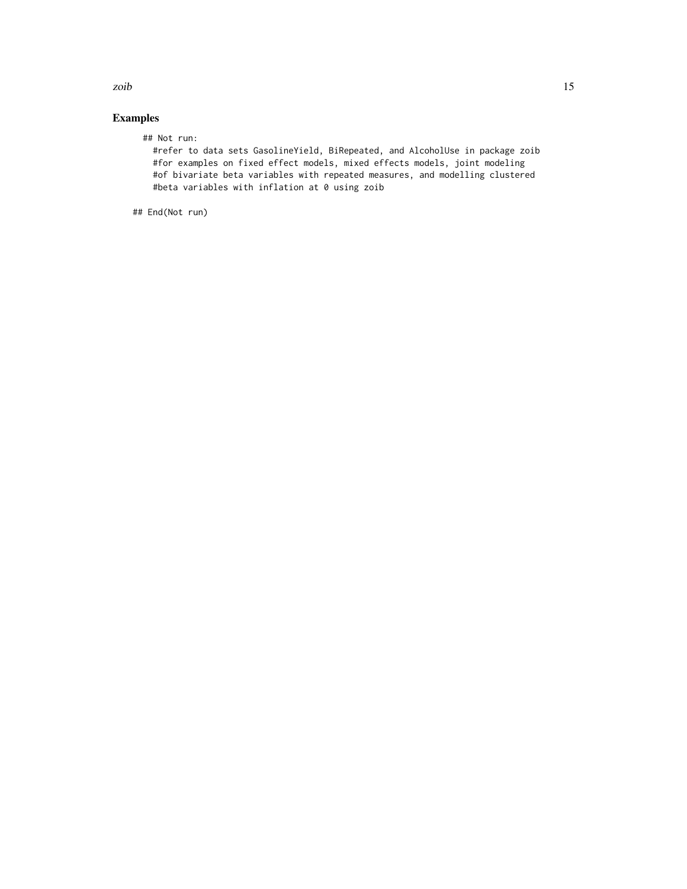Examples

## Not run:

#refer to data sets GasolineYield, BiRepeated, and AlcoholUse in package zoib #for examples on fixed effect models, mixed effects models, joint modeling #of bivariate beta variables with repeated measures, and modelling clustered #beta variables with inflation at 0 using zoib

## End(Not run)

zoib<sup>15</sup>